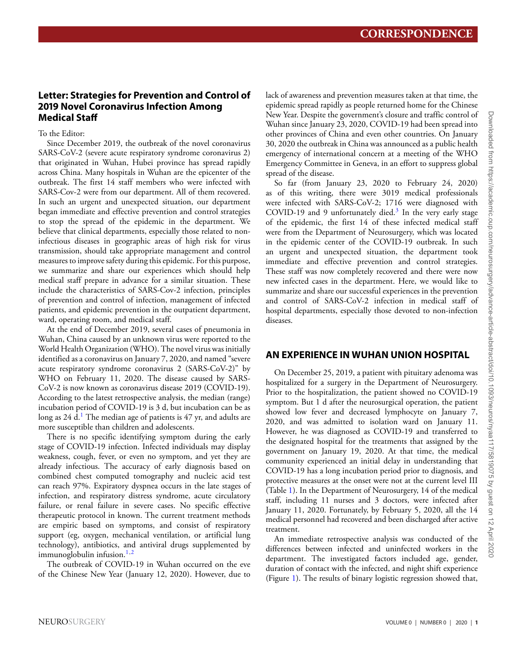# **Letter: Strategies for Prevention and Control of 2019 Novel Coronavirus Infection Among Medical Staff**

## To the Editor:

Since December 2019, the outbreak of the novel coronavirus SARS-CoV-2 (severe acute respiratory syndrome coronavirus 2) that originated in Wuhan, Hubei province has spread rapidly across China. Many hospitals in Wuhan are the epicenter of the outbreak. The first 14 staff members who were infected with SARS-Cov-2 were from our department. All of them recovered. In such an urgent and unexpected situation, our department began immediate and effective prevention and control strategies to stop the spread of the epidemic in the department. We believe that clinical departments, especially those related to noninfectious diseases in geographic areas of high risk for virus transmission, should take appropriate management and control measures to improve safety during this epidemic. For this purpose, we summarize and share our experiences which should help medical staff prepare in advance for a similar situation. These include the characteristics of SARS-Cov-2 infection, principles of prevention and control of infection, management of infected patients, and epidemic prevention in the outpatient department, ward, operating room, and medical staff.

At the end of December 2019, several cases of pneumonia in Wuhan, China caused by an unknown virus were reported to the World Health Organization (WHO). The novel virus was initially identified as a coronavirus on January 7, 2020, and named "severe acute respiratory syndrome coronavirus 2 (SARS-CoV-2)" by WHO on February 11, 2020. The disease caused by SARS-CoV-2 is now known as coronavirus disease 2019 (COVID-19). According to the latest retrospective analysis, the median (range) incubation period of COVID-19 is 3 d, but incubation can be as long as  $24$  d.<sup>[1](#page-5-0)</sup> The median age of patients is  $47$  yr, and adults are more susceptible than children and adolescents.

There is no specific identifying symptom during the early stage of COVID-19 infection. Infected individuals may display weakness, cough, fever, or even no symptom, and yet they are already infectious. The accuracy of early diagnosis based on combined chest computed tomography and nucleic acid test can reach 97%. Expiratory dyspnea occurs in the late stages of infection, and respiratory distress syndrome, acute circulatory failure, or renal failure in severe cases. No specific effective therapeutic protocol in known. The current treatment methods are empiric based on symptoms, and consist of respiratory support (eg, oxygen, mechanical ventilation, or artificial lung technology), antibiotics, and antiviral drugs supplemented by immunoglobulin infusion. $1,2$  $1,2$ 

The outbreak of COVID-19 in Wuhan occurred on the eve of the Chinese New Year (January 12, 2020). However, due to

lack of awareness and prevention measures taken at that time, the epidemic spread rapidly as people returned home for the Chinese New Year. Despite the government's closure and traffic control of Wuhan since January 23, 2020, COVID-19 had been spread into other provinces of China and even other countries. On January 30, 2020 the outbreak in China was announced as a public health emergency of international concern at a meeting of the WHO Emergency Committee in Geneva, in an effort to suppress global spread of the disease.

So far (from January 23, 2020 to February 24, 2020) as of this writing, there were 3019 medical professionals were infected with SARS-CoV-2; 1716 were diagnosed with COVID-19 and 9 unfortunately died.<sup>[3](#page-5-2)</sup> In the very early stage of the epidemic, the first 14 of these infected medical staff were from the Department of Neurosurgery, which was located in the epidemic center of the COVID-19 outbreak. In such an urgent and unexpected situation, the department took immediate and effective prevention and control strategies. These staff was now completely recovered and there were now new infected cases in the department. Here, we would like to summarize and share our successful experiences in the prevention and control of SARS-CoV-2 infection in medical staff of hospital departments, especially those devoted to non-infection diseases.

# **AN EXPERIENCE IN WUHAN UNION HOSPITAL**

On December 25, 2019, a patient with pituitary adenoma was hospitalized for a surgery in the Department of Neurosurgery. Prior to the hospitalization, the patient showed no COVID-19 symptom. But 1 d after the neurosurgical operation, the patient showed low fever and decreased lymphocyte on January 7, 2020, and was admitted to isolation ward on January 11. However, he was diagnosed as COVID-19 and transferred to the designated hospital for the treatments that assigned by the government on January 19, 2020. At that time, the medical community experienced an initial delay in understanding that COVID-19 has a long incubation period prior to diagnosis, and protective measures at the onset were not at the current level III (Table [1\)](#page-1-0). In the Department of Neurosurgery, 14 of the medical staff, including 11 nurses and 3 doctors, were infected after January 11, 2020. Fortunately, by February 5, 2020, all the 14 medical personnel had recovered and been discharged after active treatment.

An immediate retrospective analysis was conducted of the differences between infected and uninfected workers in the department. The investigated factors included age, gender, duration of contact with the infected, and night shift experience (Figure [1\)](#page-1-1). The results of binary logistic regression showed that,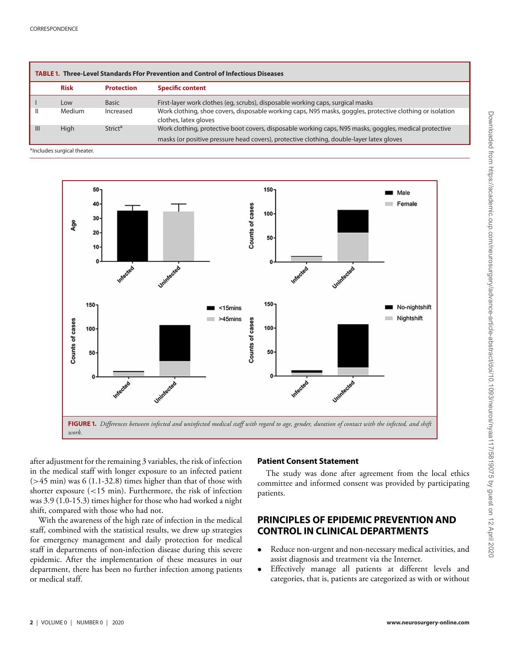<span id="page-1-0"></span>

|                | <b>TABLE 1. Three-Level Standards Ffor Prevention and Control of Infectious Diseases</b> |                           |                                                                                                                                                                                                    |  |  |
|----------------|------------------------------------------------------------------------------------------|---------------------------|----------------------------------------------------------------------------------------------------------------------------------------------------------------------------------------------------|--|--|
|                | <b>Risk</b>                                                                              | <b>Protection</b>         | <b>Specific content</b>                                                                                                                                                                            |  |  |
|                | Low                                                                                      | <b>Basic</b>              | First-layer work clothes (eg, scrubs), disposable working caps, surgical masks                                                                                                                     |  |  |
| Ш              | <b>Medium</b>                                                                            | Increased                 | Work clothing, shoe covers, disposable working caps, N95 masks, goggles, protective clothing or isolation<br>clothes, latex gloves                                                                 |  |  |
| $\mathbf{III}$ | High                                                                                     | <b>Strict<sup>a</sup></b> | Work clothing, protective boot covers, disposable working caps, N95 masks, goggles, medical protective<br>masks (or positive pressure head covers), protective clothing, double-layer latex gloves |  |  |

aIncludes surgical theater.

<span id="page-1-1"></span>

after adjustment for the remaining 3 variables, the risk of infection in the medical staff with longer exposure to an infected patient  $(>45 \text{ min})$  was 6 (1.1-32.8) times higher than that of those with shorter exposure (<15 min). Furthermore, the risk of infection was 3.9 (1.0-15.3) times higher for those who had worked a night shift, compared with those who had not.

With the awareness of the high rate of infection in the medical staff, combined with the statistical results, we drew up strategies for emergency management and daily protection for medical staff in departments of non-infection disease during this severe epidemic. After the implementation of these measures in our department, there has been no further infection among patients or medical staff.

#### **Patient Consent Statement**

The study was done after agreement from the local ethics committee and informed consent was provided by participating patients.

# **PRINCIPLES OF EPIDEMIC PREVENTION AND CONTROL IN CLINICAL DEPARTMENTS**

- Reduce non-urgent and non-necessary medical activities, and assist diagnosis and treatment via the Internet.
- Effectively manage all patients at different levels and categories, that is, patients are categorized as with or without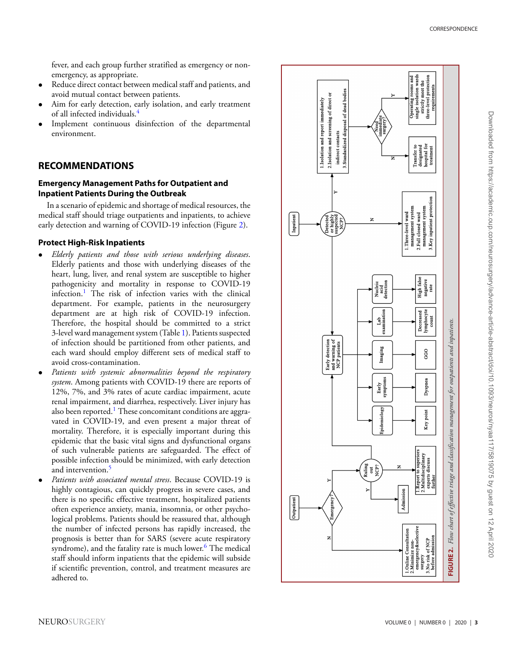fever, and each group further stratified as emergency or nonemergency, as appropriate.

- Reduce direct contact between medical staff and patients, and avoid mutual contact between patients.
- Aim for early detection, early isolation, and early treatment of all infected individuals. [4](#page-5-3)
- Implement continuous disinfection of the departmental environment.

## **RECOMMENDATIONS**

#### **Emergency Management Paths for Outpatient and Inpatient Patients During the Outbreak**

In a scenario of epidemic and shortage of medical resources, the medical staff should triage outpatients and inpatients, to achieve early detection and warning of COVID-19 infection (Figure [2\)](#page-2-0).

#### **Protect High-Risk Inpatients**

- *Elderly patients and those with serious underlying diseases* . Elderly patients and those with underlying diseases of the heart, lung, liver, and renal system are susceptible to higher pathogenicity and mortality in response to COVID-19 infection. [1](#page-5-0) The risk of infection varies with the clinical department. For example, patients in the neurosurgery department are at high risk of COVID-19 infection. Therefore, the hospital should be committed to a strict 3-level ward management system (Table [1\)](#page-1-0). Patients suspected of infection should be partitioned from other patients, and each ward should employ different sets of medical staff to avoid cross-contamination.
- *Patients with systemic abnormalities beyond the respiratory system*. Among patients with COVID-19 there are reports of 12%, 7%, and 3% rates of acute cardiac impairment, acute renal impairment, and diarrhea, respectively. Liver injury has also been reported.<sup>[1](#page-5-0)</sup> These concomitant conditions are aggravated in COVID-19, and even present a major threat of mortality. Therefore, it is especially important during this epidemic that the basic vital signs and dysfunctional organs of such vulnerable patients are safeguarded. The effect of possible infection should be minimized, with early detection and intervention. [5](#page-5-4)
- <span id="page-2-0"></span>• *Patients with associated mental stress*. Because COVID-19 is highly contagious, can quickly progress in severe cases, and there is no specific effective treatment, hospitalized patients often experience anxiety, mania, insomnia, or other psychological problems. Patients should be reassured that, although the number of infected persons has rapidly increased, the prognosis is better than for SARS (severe acute respiratory syndrome), and the fatality rate is much lower. [6](#page-5-5) The medical staff should inform inpatients that the epidemic will subside if scientific prevention, control, and treatment measures are adhered to.

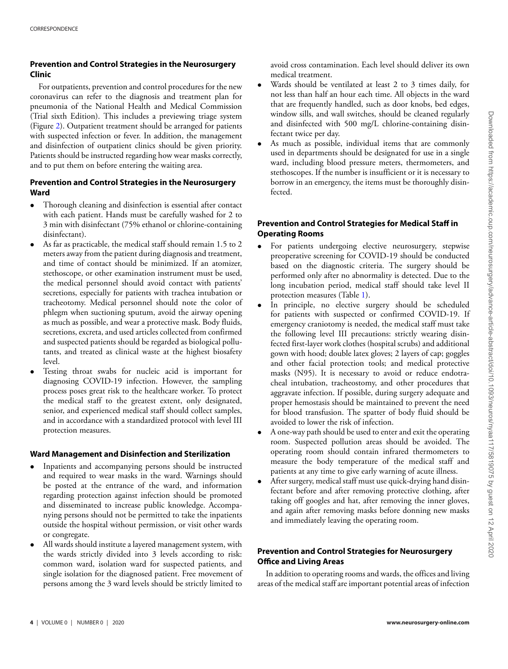## **Prevention and Control Strategies in the Neurosurgery Clinic**

For outpatients, prevention and control procedures for the new coronavirus can refer to the diagnosis and treatment plan for pneumonia of the National Health and Medical Commission (Trial sixth Edition). This includes a previewing triage system (Figure [2\)](#page-2-0). Outpatient treatment should be arranged for patients with suspected infection or fever. In addition, the management and disinfection of outpatient clinics should be given priority. Patients should be instructed regarding how wear masks correctly, and to put them on before entering the waiting area.

## **Prevention and Control Strategies in the Neurosurgery Ward**

- Thorough cleaning and disinfection is essential after contact with each patient. Hands must be carefully washed for 2 to 3 min with disinfectant (75% ethanol or chlorine-containing disinfectant).
- As far as practicable, the medical staff should remain 1.5 to 2 meters away from the patient during diagnosis and treatment, and time of contact should be minimized. If an atomizer, stethoscope, or other examination instrument must be used, the medical personnel should avoid contact with patients' secretions, especially for patients with trachea intubation or tracheotomy. Medical personnel should note the color of phlegm when suctioning sputum, avoid the airway opening as much as possible, and wear a protective mask. Body fluids, secretions, excreta, and used articles collected from confirmed and suspected patients should be regarded as biological pollutants, and treated as clinical waste at the highest biosafety level.
- Testing throat swabs for nucleic acid is important for diagnosing COVID-19 infection. However, the sampling process poses great risk to the healthcare worker. To protect the medical staff to the greatest extent, only designated, senior, and experienced medical staff should collect samples, and in accordance with a standardized protocol with level III protection measures.

## **Ward Management and Disinfection and Sterilization**

- Inpatients and accompanying persons should be instructed and required to wear masks in the ward. Warnings should be posted at the entrance of the ward, and information regarding protection against infection should be promoted and disseminated to increase public knowledge. Accompanying persons should not be permitted to take the inpatients outside the hospital without permission, or visit other wards or congregate.
- All wards should institute a layered management system, with the wards strictly divided into 3 levels according to risk: common ward, isolation ward for suspected patients, and single isolation for the diagnosed patient. Free movement of persons among the 3 ward levels should be strictly limited to

avoid cross contamination. Each level should deliver its own medical treatment.

- Wards should be ventilated at least 2 to 3 times daily, for not less than half an hour each time. All objects in the ward that are frequently handled, such as door knobs, bed edges, window sills, and wall switches, should be cleaned regularly and disinfected with 500 mg/L chlorine-containing disinfectant twice per day.
- As much as possible, individual items that are commonly used in departments should be designated for use in a single ward, including blood pressure meters, thermometers, and stethoscopes. If the number is insufficient or it is necessary to borrow in an emergency, the items must be thoroughly disinfected.

## **Prevention and Control Strategies for Medical Staff in Operating Rooms**

- For patients undergoing elective neurosurgery, stepwise preoperative screening for COVID-19 should be conducted based on the diagnostic criteria. The surgery should be performed only after no abnormality is detected. Due to the long incubation period, medical staff should take level II protection measures (Table [1\)](#page-1-0).
- In principle, no elective surgery should be scheduled for patients with suspected or confirmed COVID-19. If emergency craniotomy is needed, the medical staff must take the following level III precautions: strictly wearing disinfected first-layer work clothes (hospital scrubs) and additional gown with hood; double latex gloves; 2 layers of cap; goggles and other facial protection tools; and medical protective masks (N95). It is necessary to avoid or reduce endotracheal intubation, tracheostomy, and other procedures that aggravate infection. If possible, during surgery adequate and proper hemostasis should be maintained to prevent the need for blood transfusion. The spatter of body fluid should be avoided to lower the risk of infection.
- A one-way path should be used to enter and exit the operating room. Suspected pollution areas should be avoided. The operating room should contain infrared thermometers to measure the body temperature of the medical staff and patients at any time to give early warning of acute illness.
- After surgery, medical staff must use quick-drying hand disinfectant before and after removing protective clothing, after taking off googles and hat, after removing the inner gloves, and again after removing masks before donning new masks and immediately leaving the operating room.

## **Prevention and Control Strategies for Neurosurgery Office and Living Areas**

I[n](#page-4-0) addition to operating rooms and wards, the offices and living areas of the medical staff are important potential areas of infection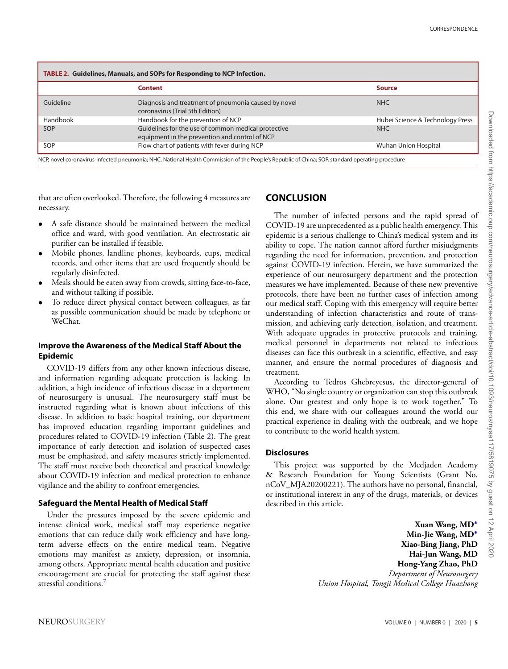<span id="page-4-0"></span>

|           | Content                                                                                               | <b>Source</b>                    |
|-----------|-------------------------------------------------------------------------------------------------------|----------------------------------|
| Guideline | Diagnosis and treatment of pneumonia caused by novel<br>coronavirus (Trial 5th Edition)               | <b>NHC</b>                       |
| Handbook  | Handbook for the prevention of NCP                                                                    | Hubei Science & Technology Press |
| SOP       | Guidelines for the use of common medical protective<br>equipment in the prevention and control of NCP | <b>NHC</b>                       |
| SOP       | Flow chart of patients with fever during NCP                                                          | Wuhan Union Hospital             |

NCP, novel coronavirus-infected pneumonia; NHC, National Health Commission of the People's Republic of China; SOP, standard operating procedure

that are often overlooked. Therefore, the following 4 measures are necessary.

- A safe distance should be maintained between the medical office and ward, with good ventilation. An electrostatic air purifier can be installed if feasible.
- Mobile phones, landline phones, keyboards, cups, medical records, and other items that are used frequently should be regularly disinfected.
- Meals should be eaten away from crowds, sitting face-to-face, and without talking if possible.
- To reduce direct physical contact between colleagues, as far as possible communication should be made by telephone or WeChat.

### **Improve the Awareness of the Medical Staff About the Epidemic**

COVID-19 differs from any other known infectious disease, and information regarding adequate protection is lacking. In addition, a high incidence of infectious disease in a department of neurosurgery is unusual. The neurosurgery staff must be instructed regarding what is known about infections of this disease. In addition to basic hospital training, our department has improved education regarding important guidelines and procedures related to COVID-19 infection (Table [2\)](#page-4-0). The great importance of early detection and isolation of suspected cases must be emphasized, and safety measures strictly implemented. The staff must receive both theoretical and practical knowledge about COVID-19 infection and medical protection to enhance vigilance and the ability to confront emergencies.

#### **Safeguard the Mental Health of Medical Staff**

Under the pressures imposed by the severe epidemic and intense clinical work, medical staff may experience negative emotions that can reduce daily work efficiency and have longterm adverse effects on the entire medical team. Negative emotions may manifest as anxiety, depression, or insomnia, among others. Appropriate mental health education and positive encouragement are crucial for protecting the staff against these stressful conditions[.7](#page-5-6)

## **CONCLUSION**

The number of infected persons and the rapid spread of COVID-19 are unprecedented as a public health emergency. This epidemic is a serious challenge to China's medical system and its ability to cope. The nation cannot afford further misjudgments regarding the need for information, prevention, and protection against COVID-19 infection. Herein, we have summarized the experience of our neurosurgery department and the protection measures we have implemented. Because of these new preventive protocols, there have been no further cases of infection among our medical staff. Coping with this emergency will require better understanding of infection characteristics and route of transmission, and achieving early detection, isolation, and treatment. With adequate upgrades in protective protocols and training, medical personnel in departments not related to infectious diseases can face this outbreak in a scientific, effective, and easy manner, and ensure the normal procedures of diagnosis and treatment.

According to Tedros Ghebreyesus, the director-general of WHO, "No single country or organization can stop this outbreak alone. Our greatest and only hope is to work together." To this end, we share with our colleagues around the world our practical experience in dealing with the outbreak, and we hope to contribute to the world health system.

### **Disclosures**

This project was supported by the Medjaden Academy & Research Foundation for Young Scientists (Grant No. nCoV\_MJA20200221). The authors have no personal, financial, or institutional interest in any of the drugs, materials, or devices described in this article.

> **Xuan Wang, MD<sup>∗</sup> Min-Jie Wang, MD<sup>∗</sup> Hai-Jun Wang, MD Hong-Yang Zhao, PhD Hong-Yang Zhao, PhD** *Department of Neurosurgery Union Hospital, Tongji Medical College Huazhong*